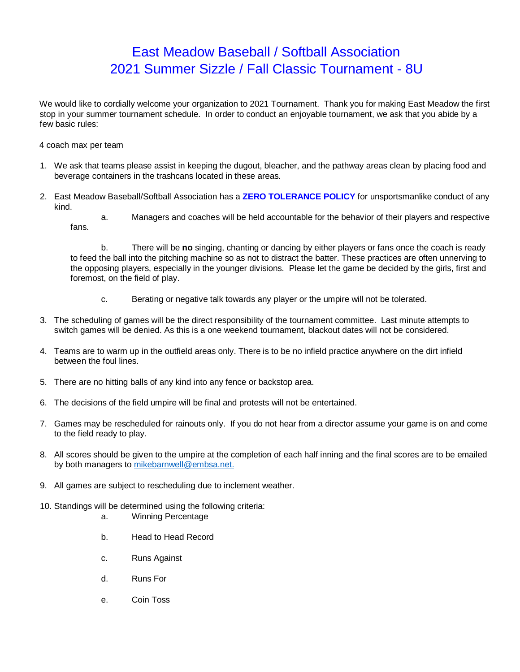## East Meadow Baseball / Softball Association 2021 Summer Sizzle / Fall Classic Tournament - 8U

We would like to cordially welcome your organization to 2021 Tournament. Thank you for making East Meadow the first stop in your summer tournament schedule. In order to conduct an enjoyable tournament, we ask that you abide by a few basic rules:

- 4 coach max per team
- 1. We ask that teams please assist in keeping the dugout, bleacher, and the pathway areas clean by placing food and beverage containers in the trashcans located in these areas.
- 2. East Meadow Baseball/Softball Association has a **ZERO TOLERANCE POLICY** for unsportsmanlike conduct of any kind.
	- a. Managers and coaches will be held accountable for the behavior of their players and respective fans.

b. There will be **no** singing, chanting or dancing by either players or fans once the coach is ready to feed the ball into the pitching machine so as not to distract the batter. These practices are often unnerving to the opposing players, especially in the younger divisions. Please let the game be decided by the girls, first and foremost, on the field of play.

- c. Berating or negative talk towards any player or the umpire will not be tolerated.
- 3. The scheduling of games will be the direct responsibility of the tournament committee. Last minute attempts to switch games will be denied. As this is a one weekend tournament, blackout dates will not be considered.
- 4. Teams are to warm up in the outfield areas only. There is to be no infield practice anywhere on the dirt infield between the foul lines.
- 5. There are no hitting balls of any kind into any fence or backstop area.
- 6. The decisions of the field umpire will be final and protests will not be entertained.
- 7. Games may be rescheduled for rainouts only. If you do not hear from a director assume your game is on and come to the field ready to play.
- 8. All scores should be given to the umpire at the completion of each half inning and the final scores are to be emailed by both managers to mikebarnwell@embsa.net.
- 9. All games are subject to rescheduling due to inclement weather.
- 10. Standings will be determined using the following criteria:
	- a. Winning Percentage
	- b. Head to Head Record
	- c. Runs Against
	- d. Runs For
	- e. Coin Toss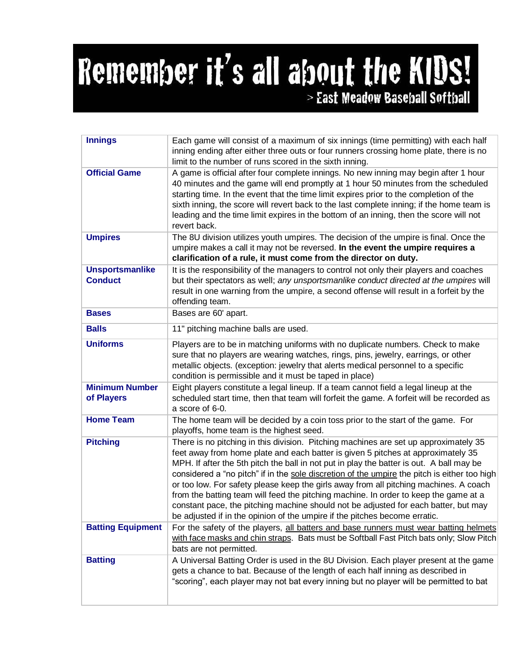## Remember it's all about the KIDS! > East Meadow Baseball Softball

| <b>Innings</b>                           | Each game will consist of a maximum of six innings (time permitting) with each half<br>inning ending after either three outs or four runners crossing home plate, there is no<br>limit to the number of runs scored in the sixth inning.                                                                                                                                                                                                                                                                                                                                                                                                                                                                                   |
|------------------------------------------|----------------------------------------------------------------------------------------------------------------------------------------------------------------------------------------------------------------------------------------------------------------------------------------------------------------------------------------------------------------------------------------------------------------------------------------------------------------------------------------------------------------------------------------------------------------------------------------------------------------------------------------------------------------------------------------------------------------------------|
| <b>Official Game</b>                     | A game is official after four complete innings. No new inning may begin after 1 hour<br>40 minutes and the game will end promptly at 1 hour 50 minutes from the scheduled<br>starting time. In the event that the time limit expires prior to the completion of the<br>sixth inning, the score will revert back to the last complete inning; if the home team is<br>leading and the time limit expires in the bottom of an inning, then the score will not<br>revert back.                                                                                                                                                                                                                                                 |
| <b>Umpires</b>                           | The 8U division utilizes youth umpires. The decision of the umpire is final. Once the<br>umpire makes a call it may not be reversed. In the event the umpire requires a<br>clarification of a rule, it must come from the director on duty.                                                                                                                                                                                                                                                                                                                                                                                                                                                                                |
| <b>Unsportsmanlike</b><br><b>Conduct</b> | It is the responsibility of the managers to control not only their players and coaches<br>but their spectators as well; any unsportsmanlike conduct directed at the umpires will<br>result in one warning from the umpire, a second offense will result in a forfeit by the<br>offending team.                                                                                                                                                                                                                                                                                                                                                                                                                             |
| <b>Bases</b>                             | Bases are 60' apart.                                                                                                                                                                                                                                                                                                                                                                                                                                                                                                                                                                                                                                                                                                       |
| <b>Balls</b>                             | 11" pitching machine balls are used.                                                                                                                                                                                                                                                                                                                                                                                                                                                                                                                                                                                                                                                                                       |
| <b>Uniforms</b>                          | Players are to be in matching uniforms with no duplicate numbers. Check to make<br>sure that no players are wearing watches, rings, pins, jewelry, earrings, or other<br>metallic objects. (exception: jewelry that alerts medical personnel to a specific<br>condition is permissible and it must be taped in place)                                                                                                                                                                                                                                                                                                                                                                                                      |
| <b>Minimum Number</b><br>of Players      | Eight players constitute a legal lineup. If a team cannot field a legal lineup at the<br>scheduled start time, then that team will forfeit the game. A forfeit will be recorded as<br>a score of 6-0.                                                                                                                                                                                                                                                                                                                                                                                                                                                                                                                      |
| <b>Home Team</b>                         | The home team will be decided by a coin toss prior to the start of the game. For<br>playoffs, home team is the highest seed.                                                                                                                                                                                                                                                                                                                                                                                                                                                                                                                                                                                               |
| <b>Pitching</b>                          | There is no pitching in this division. Pitching machines are set up approximately 35<br>feet away from home plate and each batter is given 5 pitches at approximately 35<br>MPH. If after the 5th pitch the ball in not put in play the batter is out. A ball may be<br>considered a "no pitch" if in the sole discretion of the umpire the pitch is either too high<br>or too low. For safety please keep the girls away from all pitching machines. A coach<br>from the batting team will feed the pitching machine. In order to keep the game at a<br>constant pace, the pitching machine should not be adjusted for each batter, but may<br>be adjusted if in the opinion of the umpire if the pitches become erratic. |
| <b>Batting Equipment</b>                 | For the safety of the players, all batters and base runners must wear batting helmets<br>with face masks and chin straps. Bats must be Softball Fast Pitch bats only; Slow Pitch<br>bats are not permitted.                                                                                                                                                                                                                                                                                                                                                                                                                                                                                                                |
| <b>Batting</b>                           | A Universal Batting Order is used in the 8U Division. Each player present at the game<br>gets a chance to bat. Because of the length of each half inning as described in<br>"scoring", each player may not bat every inning but no player will be permitted to bat                                                                                                                                                                                                                                                                                                                                                                                                                                                         |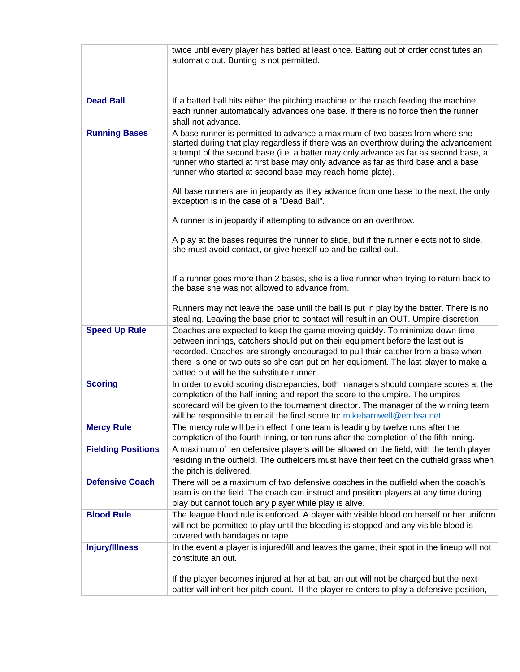|                           | twice until every player has batted at least once. Batting out of order constitutes an                                                                                                                                                                                                                                                                                                                      |
|---------------------------|-------------------------------------------------------------------------------------------------------------------------------------------------------------------------------------------------------------------------------------------------------------------------------------------------------------------------------------------------------------------------------------------------------------|
|                           | automatic out. Bunting is not permitted.                                                                                                                                                                                                                                                                                                                                                                    |
|                           |                                                                                                                                                                                                                                                                                                                                                                                                             |
|                           |                                                                                                                                                                                                                                                                                                                                                                                                             |
| <b>Dead Ball</b>          | If a batted ball hits either the pitching machine or the coach feeding the machine,                                                                                                                                                                                                                                                                                                                         |
|                           | each runner automatically advances one base. If there is no force then the runner                                                                                                                                                                                                                                                                                                                           |
|                           | shall not advance.                                                                                                                                                                                                                                                                                                                                                                                          |
| <b>Running Bases</b>      | A base runner is permitted to advance a maximum of two bases from where she<br>started during that play regardless if there was an overthrow during the advancement<br>attempt of the second base (i.e. a batter may only advance as far as second base, a<br>runner who started at first base may only advance as far as third base and a base<br>runner who started at second base may reach home plate). |
|                           | All base runners are in jeopardy as they advance from one base to the next, the only<br>exception is in the case of a "Dead Ball".                                                                                                                                                                                                                                                                          |
|                           | A runner is in jeopardy if attempting to advance on an overthrow.                                                                                                                                                                                                                                                                                                                                           |
|                           | A play at the bases requires the runner to slide, but if the runner elects not to slide,<br>she must avoid contact, or give herself up and be called out.                                                                                                                                                                                                                                                   |
|                           | If a runner goes more than 2 bases, she is a live runner when trying to return back to<br>the base she was not allowed to advance from.                                                                                                                                                                                                                                                                     |
|                           | Runners may not leave the base until the ball is put in play by the batter. There is no<br>stealing. Leaving the base prior to contact will result in an OUT. Umpire discretion                                                                                                                                                                                                                             |
| <b>Speed Up Rule</b>      | Coaches are expected to keep the game moving quickly. To minimize down time<br>between innings, catchers should put on their equipment before the last out is<br>recorded. Coaches are strongly encouraged to pull their catcher from a base when<br>there is one or two outs so she can put on her equipment. The last player to make a<br>batted out will be the substitute runner.                       |
| <b>Scoring</b>            | In order to avoid scoring discrepancies, both managers should compare scores at the<br>completion of the half inning and report the score to the umpire. The umpires<br>scorecard will be given to the tournament director. The manager of the winning team<br>will be responsible to email the final score to: mikebarnwell@embsa.net.                                                                     |
| <b>Mercy Rule</b>         | The mercy rule will be in effect if one team is leading by twelve runs after the<br>completion of the fourth inning, or ten runs after the completion of the fifth inning.                                                                                                                                                                                                                                  |
| <b>Fielding Positions</b> | A maximum of ten defensive players will be allowed on the field, with the tenth player<br>residing in the outfield. The outfielders must have their feet on the outfield grass when<br>the pitch is delivered.                                                                                                                                                                                              |
| <b>Defensive Coach</b>    | There will be a maximum of two defensive coaches in the outfield when the coach's                                                                                                                                                                                                                                                                                                                           |
|                           | team is on the field. The coach can instruct and position players at any time during<br>play but cannot touch any player while play is alive.                                                                                                                                                                                                                                                               |
| <b>Blood Rule</b>         | The league blood rule is enforced. A player with visible blood on herself or her uniform<br>will not be permitted to play until the bleeding is stopped and any visible blood is<br>covered with bandages or tape.                                                                                                                                                                                          |
| <b>Injury/Illness</b>     | In the event a player is injured/ill and leaves the game, their spot in the lineup will not<br>constitute an out.                                                                                                                                                                                                                                                                                           |
|                           | If the player becomes injured at her at bat, an out will not be charged but the next<br>batter will inherit her pitch count. If the player re-enters to play a defensive position,                                                                                                                                                                                                                          |